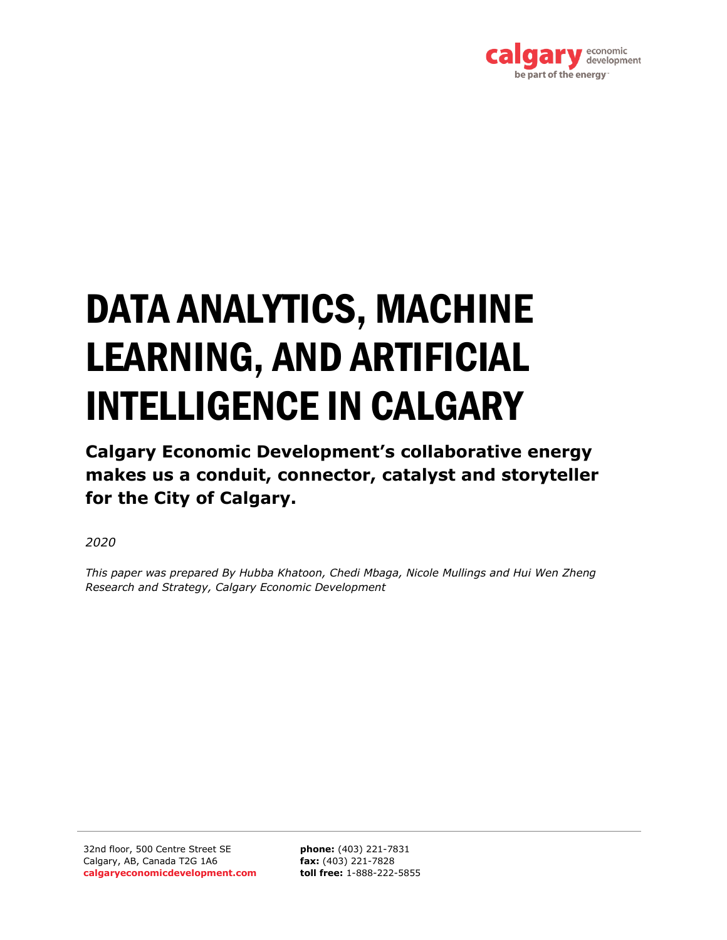

# DATA ANALYTICS, MACHINE LEARNING, AND ARTIFICIAL INTELLIGENCE IN CALGARY

**Calgary Economic Development's collaborative energy makes us a conduit, connector, catalyst and storyteller for the City of Calgary.**

*2020*

*This paper was prepared By Hubba Khatoon, Chedi Mbaga, Nicole Mullings and Hui Wen Zheng Research and Strategy, Calgary Economic Development*

32nd floor, 500 Centre Street SE Calgary, AB, Canada T2G 1A6 **calgaryeconomicdevelopment.com**

**phone:** (403) 221-7831 **fax:** (403) 221-7828 **toll free:** 1-888-222-5855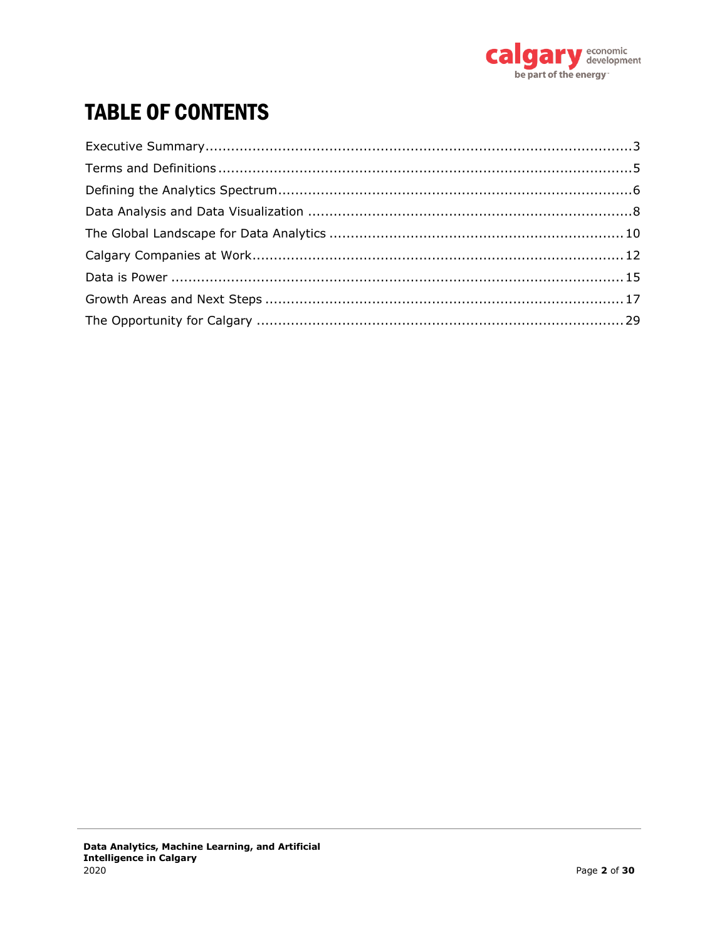

# **TABLE OF CONTENTS**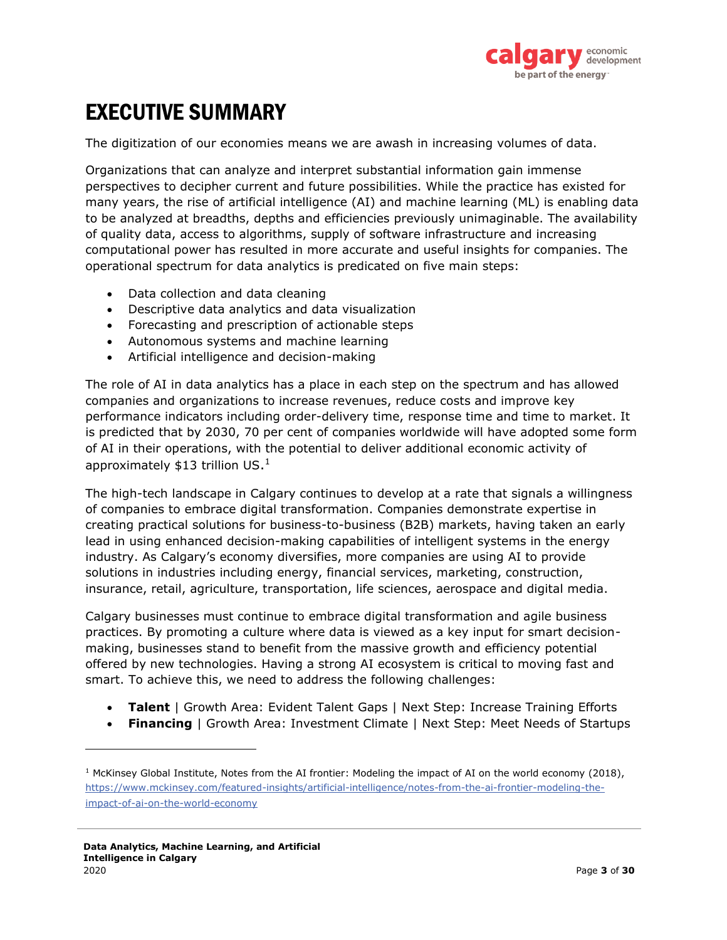

# <span id="page-2-0"></span>EXECUTIVE SUMMARY

The digitization of our economies means we are awash in increasing volumes of data.

Organizations that can analyze and interpret substantial information gain immense perspectives to decipher current and future possibilities. While the practice has existed for many years, the rise of artificial intelligence (AI) and machine learning (ML) is enabling data to be analyzed at breadths, depths and efficiencies previously unimaginable. The availability of quality data, access to algorithms, supply of software infrastructure and increasing computational power has resulted in more accurate and useful insights for companies. The operational spectrum for data analytics is predicated on five main steps:

- Data collection and data cleaning
- Descriptive data analytics and data visualization
- Forecasting and prescription of actionable steps
- Autonomous systems and machine learning
- Artificial intelligence and decision-making

The role of AI in data analytics has a place in each step on the spectrum and has allowed companies and organizations to increase revenues, reduce costs and improve key performance indicators including order-delivery time, response time and time to market. It is predicted that by 2030, 70 per cent of companies worldwide will have adopted some form of AI in their operations, with the potential to deliver additional economic activity of approximately \$13 trillion US.<sup>1</sup>

The high-tech landscape in Calgary continues to develop at a rate that signals a willingness of companies to embrace digital transformation. Companies demonstrate expertise in creating practical solutions for business-to-business (B2B) markets, having taken an early lead in using enhanced decision-making capabilities of intelligent systems in the energy industry. As Calgary's economy diversifies, more companies are using AI to provide solutions in industries including energy, financial services, marketing, construction, insurance, retail, agriculture, transportation, life sciences, aerospace and digital media.

Calgary businesses must continue to embrace digital transformation and agile business practices. By promoting a culture where data is viewed as a key input for smart decisionmaking, businesses stand to benefit from the massive growth and efficiency potential offered by new technologies. Having a strong AI ecosystem is critical to moving fast and smart. To achieve this, we need to address the following challenges:

- **Talent** | Growth Area: Evident Talent Gaps | Next Step: Increase Training Efforts
- **Financing** | Growth Area: Investment Climate | Next Step: Meet Needs of Startups

<sup>&</sup>lt;sup>1</sup> McKinsey Global Institute, Notes from the AI frontier: Modeling the impact of AI on the world economy (2018), https://www.mckinsey.com/featured-insights/artificial-intelligence/notes-from-the-ai-frontier-modeling-theimpact-of-ai-on-the-world-economy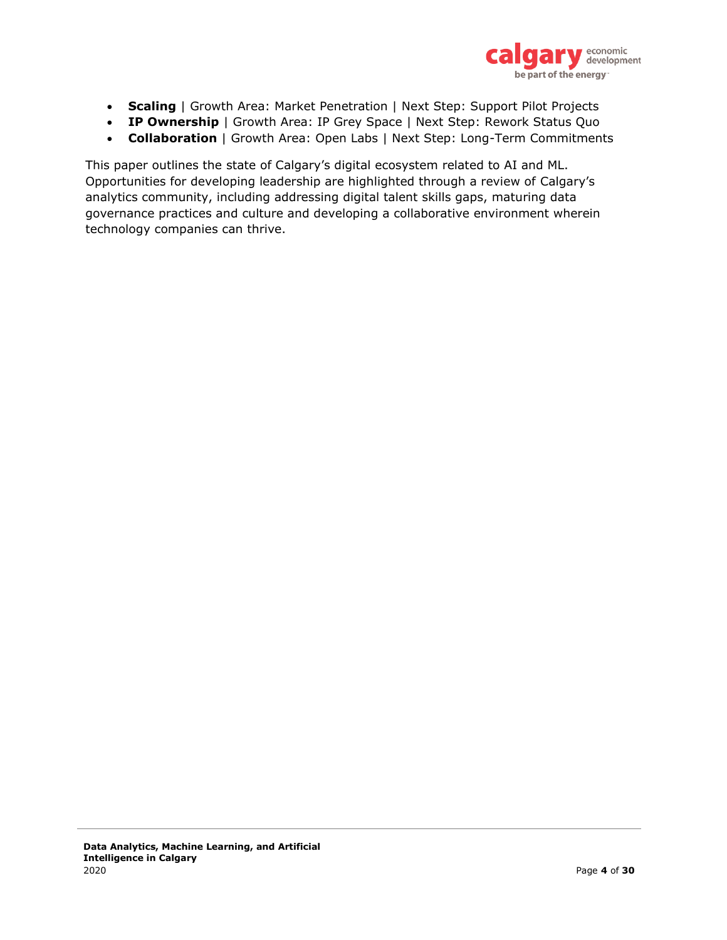

- **Scaling** | Growth Area: Market Penetration | Next Step: Support Pilot Projects
- **IP Ownership** | Growth Area: IP Grey Space | Next Step: Rework Status Quo
- **Collaboration** | Growth Area: Open Labs | Next Step: Long-Term Commitments

This paper outlines the state of Calgary's digital ecosystem related to AI and ML. Opportunities for developing leadership are highlighted through a review of Calgary's analytics community, including addressing digital talent skills gaps, maturing data governance practices and culture and developing a collaborative environment wherein technology companies can thrive.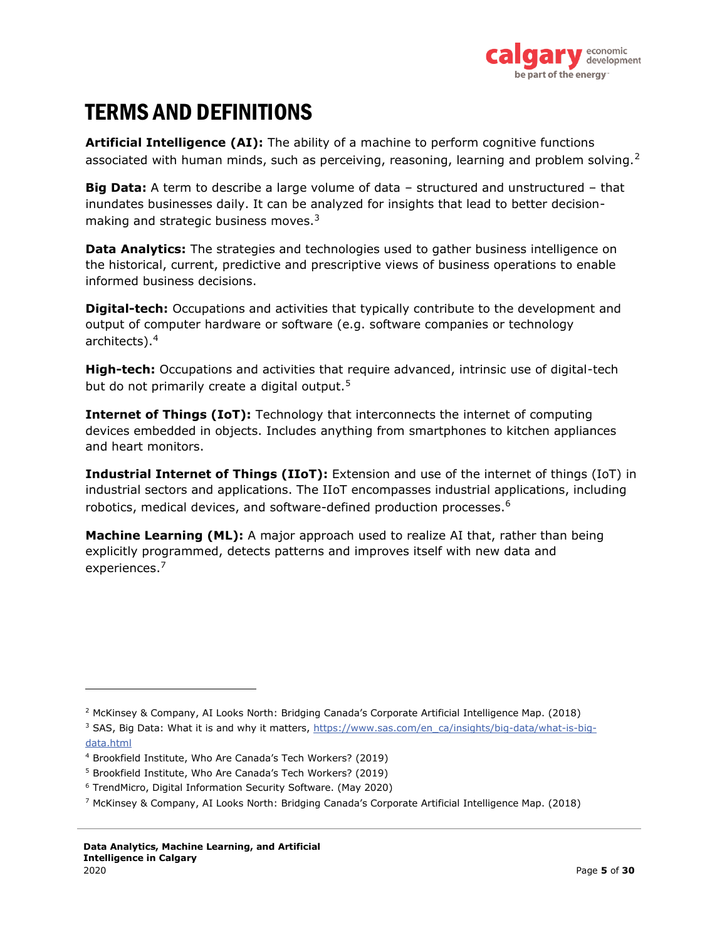

## <span id="page-4-0"></span>TERMS AND DEFINITIONS

**Artificial Intelligence (AI):** The ability of a machine to perform cognitive functions associated with human minds, such as perceiving, reasoning, learning and problem solving.<sup>2</sup>

**Big Data:** A term to describe a large volume of data – structured and unstructured – that inundates businesses daily. It can be analyzed for insights that lead to better decisionmaking and strategic business moves. $3$ 

**Data Analytics:** The strategies and technologies used to gather business intelligence on the historical, current, predictive and prescriptive views of business operations to enable informed business decisions.

**Digital-tech:** Occupations and activities that typically contribute to the development and output of computer hardware or software (e.g. software companies or technology architects).<sup>4</sup>

**High-tech:** Occupations and activities that require advanced, intrinsic use of digital-tech but do not primarily create a digital output.<sup>5</sup>

**Internet of Things (IoT):** Technology that interconnects the internet of computing devices embedded in objects. Includes anything from smartphones to kitchen appliances and heart monitors.

**Industrial Internet of Things (IIoT):** Extension and use of the internet of things (IoT) in industrial sectors and applications. The IIoT encompasses industrial applications, including robotics, medical devices, and software-defined production processes.<sup>6</sup>

**Machine Learning (ML):** A major approach used to realize AI that, rather than being explicitly programmed, detects patterns and improves itself with new data and experiences.<sup>7</sup>

<sup>2</sup> McKinsey & Company, AI Looks North: Bridging Canada's Corporate Artificial Intelligence Map. (2018)

<sup>&</sup>lt;sup>3</sup> SAS, Big Data: What it is and why it matters, https://www.sas.com/en\_ca/insights/big-data/what-is-bigdata.html

<sup>4</sup> Brookfield Institute, Who Are Canada's Tech Workers? (2019)

<sup>5</sup> Brookfield Institute, Who Are Canada's Tech Workers? (2019)

<sup>6</sup> TrendMicro, Digital Information Security Software. (May 2020)

<sup>7</sup> McKinsey & Company, AI Looks North: Bridging Canada's Corporate Artificial Intelligence Map. (2018)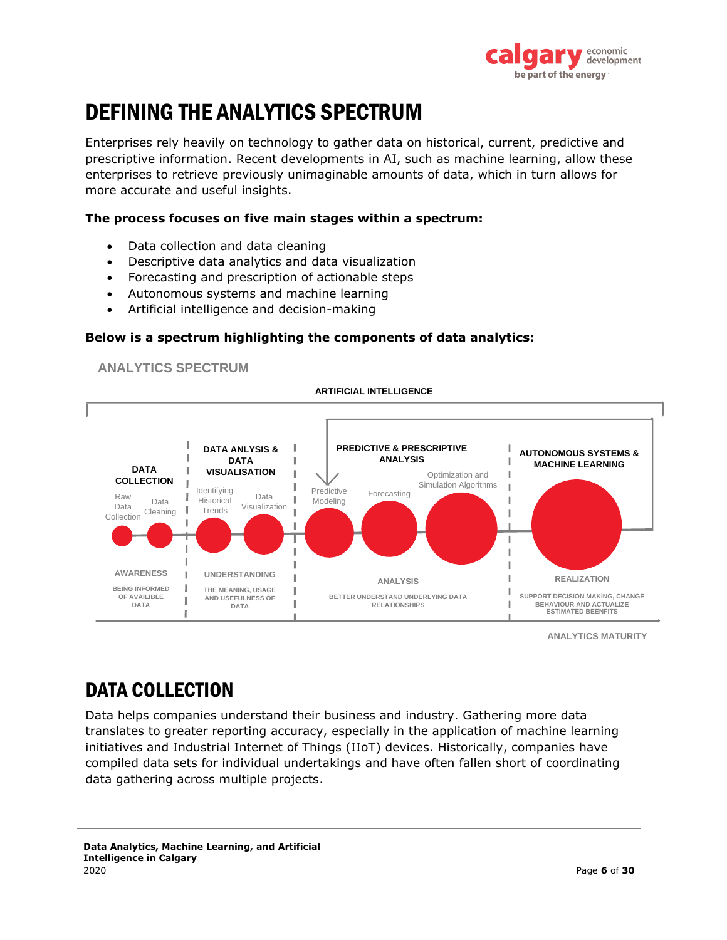

# <span id="page-5-0"></span>DEFINING THE ANALYTICS SPECTRUM

Enterprises rely heavily on technology to gather data on historical, current, predictive and prescriptive information. Recent developments in AI, such as machine learning, allow these enterprises to retrieve previously unimaginable amounts of data, which in turn allows for more accurate and useful insights.

#### **The process focuses on five main stages within a spectrum:**

- Data collection and data cleaning
- Descriptive data analytics and data visualization
- Forecasting and prescription of actionable steps
- Autonomous systems and machine learning
- Artificial intelligence and decision-making

#### **Below is a spectrum highlighting the components of data analytics:**





**ANALYTICS MATURITY**

### DATA COLLECTION

Data helps companies understand their business and industry. Gathering more data translates to greater reporting accuracy, especially in the application of machine learning initiatives and Industrial Internet of Things (IIoT) devices. Historically, companies have compiled data sets for individual undertakings and have often fallen short of coordinating data gathering across multiple projects.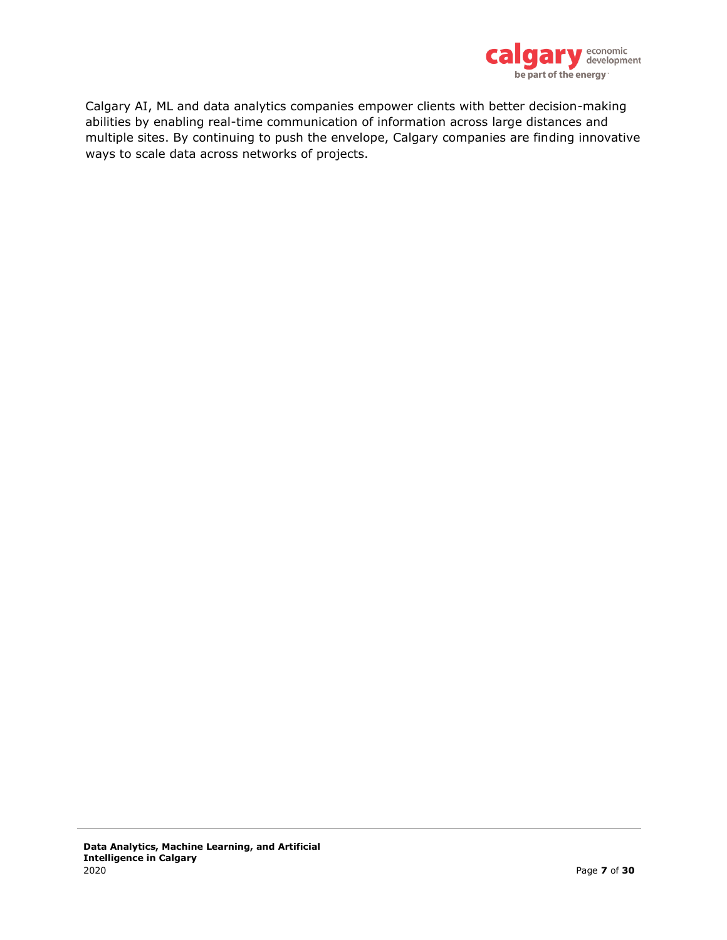

Calgary AI, ML and data analytics companies empower clients with better decision-making abilities by enabling real-time communication of information across large distances and multiple sites. By continuing to push the envelope, Calgary companies are finding innovative ways to scale data across networks of projects.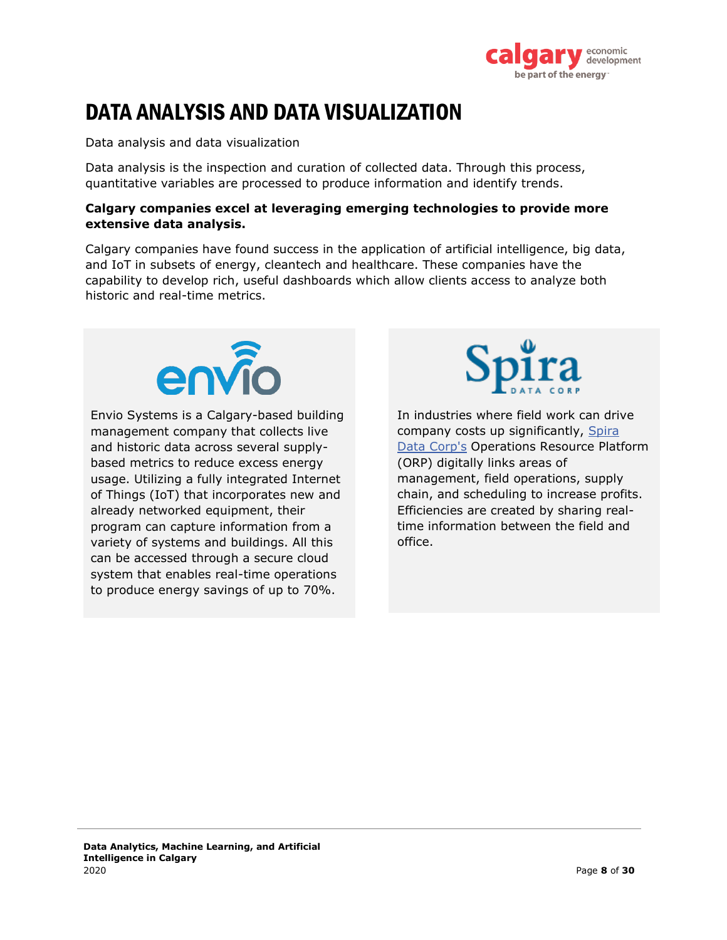

# <span id="page-7-0"></span>DATA ANALYSIS AND DATA VISUALIZATION

Data analysis and data visualization

Data analysis is the inspection and curation of collected data. Through this process, quantitative variables are processed to produce information and identify trends.

#### **Calgary companies excel at leveraging emerging technologies to provide more extensive data analysis.**

Calgary companies have found success in the application of artificial intelligence, big data, and IoT in subsets of energy, cleantech and healthcare. These companies have the capability to develop rich, useful dashboards which allow clients access to analyze both historic and real-time metrics.



Envio Systems is a Calgary-based building management company that collects live and historic data across several supplybased metrics to reduce excess energy usage. Utilizing a fully integrated Internet of Things (IoT) that incorporates new and already networked equipment, their program can capture information from a variety of systems and buildings. All this can be accessed through a secure cloud system that enables real-time operations to produce energy savings of up to 70%.



In industries where field work can drive company costs up significantly, Spira Data Corp's Operations Resource Platform (ORP) digitally links areas of management, field operations, supply chain, and scheduling to increase profits. Efficiencies are created by sharing realtime information between the field and office.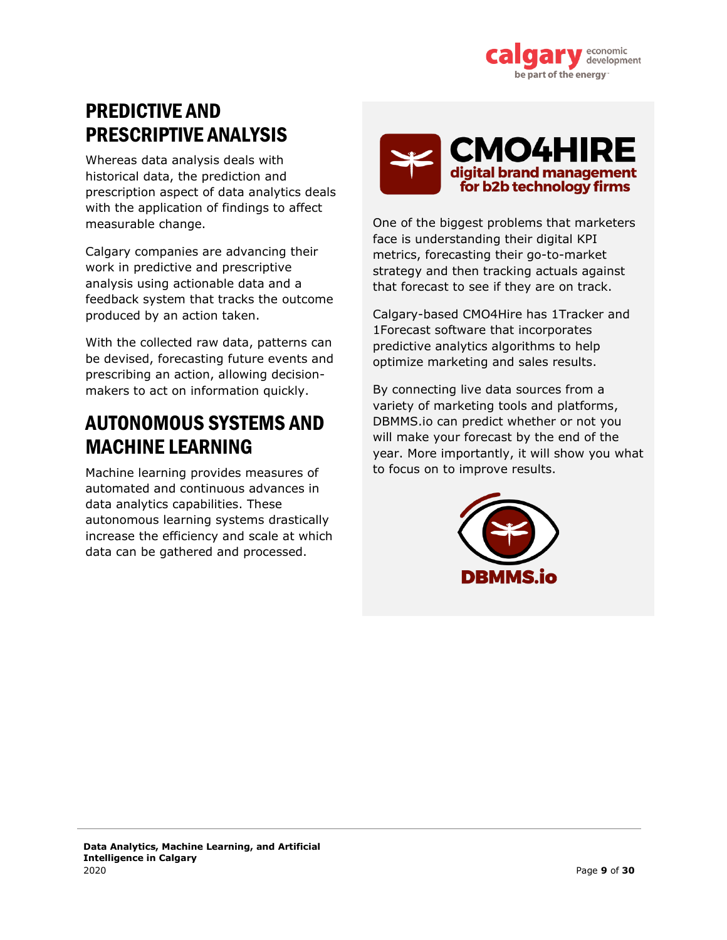

### PREDICTIVE AND PRESCRIPTIVE ANALYSIS

Whereas data analysis deals with historical data, the prediction and prescription aspect of data analytics deals with the application of findings to affect measurable change.

Calgary companies are advancing their work in predictive and prescriptive analysis using actionable data and a feedback system that tracks the outcome produced by an action taken.

With the collected raw data, patterns can be devised, forecasting future events and prescribing an action, allowing decisionmakers to act on information quickly.

### AUTONOMOUS SYSTEMS AND MACHINE LEARNING

Machine learning provides measures of automated and continuous advances in data analytics capabilities. These autonomous learning systems drastically increase the efficiency and scale at which data can be gathered and processed.



One of the biggest problems that marketers face is understanding their digital KPI metrics, forecasting their go-to-market strategy and then tracking actuals against that forecast to see if they are on track.

Calgary-based CMO4Hire has 1Tracker and 1Forecast software that incorporates predictive analytics algorithms to help optimize marketing and sales results.

By connecting live data sources from a variety of marketing tools and platforms, DBMMS.io can predict whether or not you will make your forecast by the end of the year. More importantly, it will show you what to focus on to improve results.

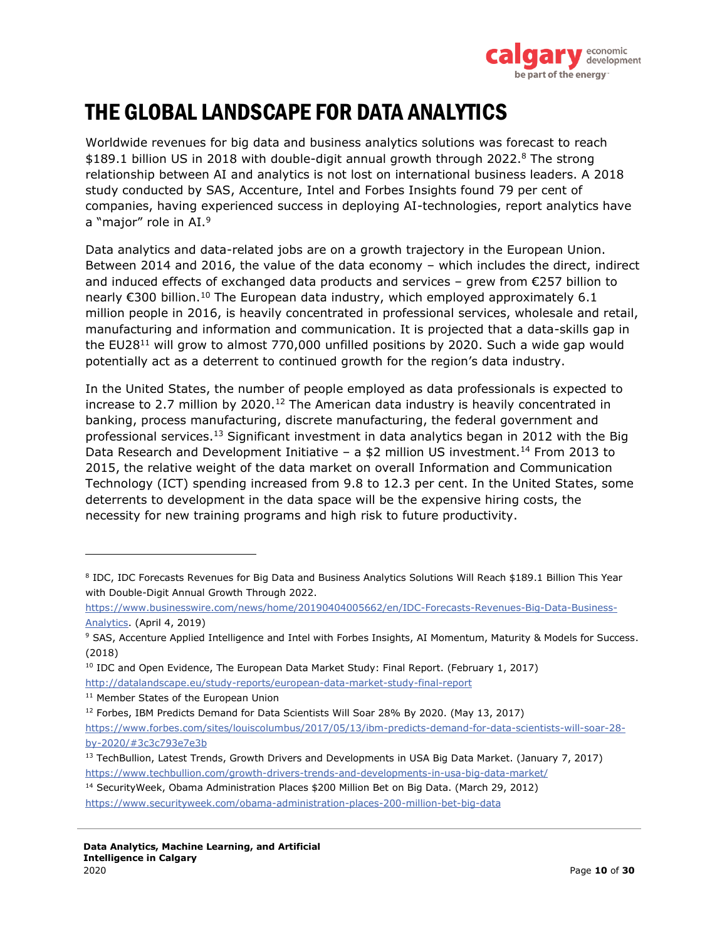

# <span id="page-9-0"></span>THE GLOBAL LANDSCAPE FOR DATA ANALYTICS

Worldwide revenues for big data and business analytics solutions was forecast to reach \$189.1 billion US in 2018 with double-digit annual growth through 2022.<sup>8</sup> The strong relationship between AI and analytics is not lost on international business leaders. A 2018 study conducted by SAS, Accenture, Intel and Forbes Insights found 79 per cent of companies, having experienced success in deploying AI-technologies, report analytics have a "major" role in AI.<sup>9</sup>

Data analytics and data-related jobs are on a growth trajectory in the European Union. Between 2014 and 2016, the value of the data economy – which includes the direct, indirect and induced effects of exchanged data products and services – grew from  $\epsilon$ 257 billion to nearly  $\epsilon$ 300 billion.<sup>10</sup> The European data industry, which employed approximately 6.1 million people in 2016, is heavily concentrated in professional services, wholesale and retail, manufacturing and information and communication. It is projected that a data-skills gap in the EU28 $^{11}$  will grow to almost 770,000 unfilled positions by 2020. Such a wide gap would potentially act as a deterrent to continued growth for the region's data industry.

In the United States, the number of people employed as data professionals is expected to increase to 2.7 million by 2020.<sup>12</sup> The American data industry is heavily concentrated in banking, process manufacturing, discrete manufacturing, the federal government and professional services.<sup>13</sup> Significant investment in data analytics began in 2012 with the Big Data Research and Development Initiative – a  $$2$  million US investment.<sup>14</sup> From 2013 to 2015, the relative weight of the data market on overall Information and Communication Technology (ICT) spending increased from 9.8 to 12.3 per cent. In the United States, some deterrents to development in the data space will be the expensive hiring costs, the necessity for new training programs and high risk to future productivity.

http://datalandscape.eu/study-reports/european-data-market-study-final-report

<sup>8</sup> IDC, IDC Forecasts Revenues for Big Data and Business Analytics Solutions Will Reach \$189.1 Billion This Year with Double-Digit Annual Growth Through 2022.

https://www.businesswire.com/news/home/20190404005662/en/IDC-Forecasts-Revenues-Big-Data-Business-Analytics. (April 4, 2019)

<sup>9</sup> SAS, Accenture Applied Intelligence and Intel with Forbes Insights, AI Momentum, Maturity & Models for Success. (2018)

<sup>&</sup>lt;sup>10</sup> IDC and Open Evidence, The European Data Market Study: Final Report. (February 1, 2017)

<sup>&</sup>lt;sup>11</sup> Member States of the European Union

<sup>&</sup>lt;sup>12</sup> Forbes, IBM Predicts Demand for Data Scientists Will Soar 28% By 2020. (May 13, 2017)

https://www.forbes.com/sites/louiscolumbus/2017/05/13/ibm-predicts-demand-for-data-scientists-will-soar-28 by-2020/#3c3c793e7e3b

<sup>&</sup>lt;sup>13</sup> TechBullion, Latest Trends, Growth Drivers and Developments in USA Big Data Market. (January 7, 2017) https://www.techbullion.com/growth-drivers-trends-and-developments-in-usa-big-data-market/

<sup>&</sup>lt;sup>14</sup> SecurityWeek, Obama Administration Places \$200 Million Bet on Big Data. (March 29, 2012)

https://www.securityweek.com/obama-administration-places-200-million-bet-big-data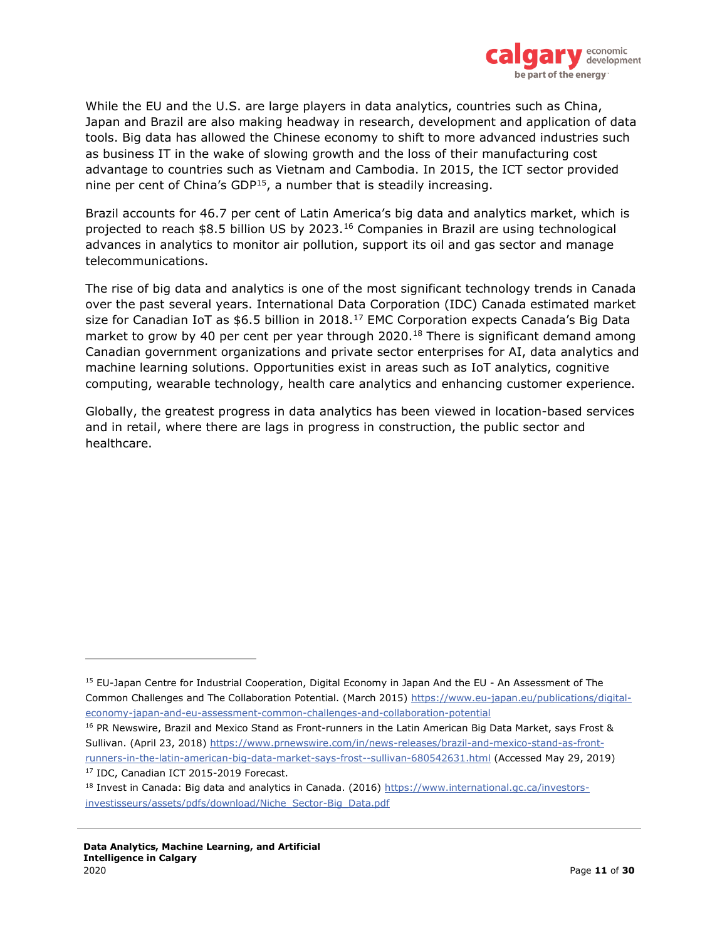

While the EU and the U.S. are large players in data analytics, countries such as China, Japan and Brazil are also making headway in research, development and application of data tools. Big data has allowed the Chinese economy to shift to more advanced industries such as business IT in the wake of slowing growth and the loss of their manufacturing cost advantage to countries such as Vietnam and Cambodia. In 2015, the ICT sector provided nine per cent of China's GDP $15$ , a number that is steadily increasing.

Brazil accounts for 46.7 per cent of Latin America's big data and analytics market, which is projected to reach \$8.5 billion US by 2023.<sup>16</sup> Companies in Brazil are using technological advances in analytics to monitor air pollution, support its oil and gas sector and manage telecommunications.

The rise of big data and analytics is one of the most significant technology trends in Canada over the past several years. International Data Corporation (IDC) Canada estimated market size for Canadian IoT as \$6.5 billion in 2018.<sup>17</sup> EMC Corporation expects Canada's Big Data market to grow by 40 per cent per year through  $2020<sup>18</sup>$  There is significant demand among Canadian government organizations and private sector enterprises for AI, data analytics and machine learning solutions. Opportunities exist in areas such as IoT analytics, cognitive computing, wearable technology, health care analytics and enhancing customer experience.

Globally, the greatest progress in data analytics has been viewed in location-based services and in retail, where there are lags in progress in construction, the public sector and healthcare.

<sup>&</sup>lt;sup>15</sup> EU-Japan Centre for Industrial Cooperation, Digital Economy in Japan And the EU - An Assessment of The Common Challenges and The Collaboration Potential. (March 2015) https://www.eu-japan.eu/publications/digitaleconomy-japan-and-eu-assessment-common-challenges-and-collaboration-potential

<sup>&</sup>lt;sup>16</sup> PR Newswire, Brazil and Mexico Stand as Front-runners in the Latin American Big Data Market, says Frost & Sullivan. (April 23, 2018) https://www.prnewswire.com/in/news-releases/brazil-and-mexico-stand-as-frontrunners-in-the-latin-american-big-data-market-says-frost--sullivan-680542631.html (Accessed May 29, 2019) <sup>17</sup> IDC, Canadian ICT 2015-2019 Forecast.

<sup>&</sup>lt;sup>18</sup> Invest in Canada: Big data and analytics in Canada. (2016) https://www.international.gc.ca/investorsinvestisseurs/assets/pdfs/download/Niche\_Sector-Big\_Data.pdf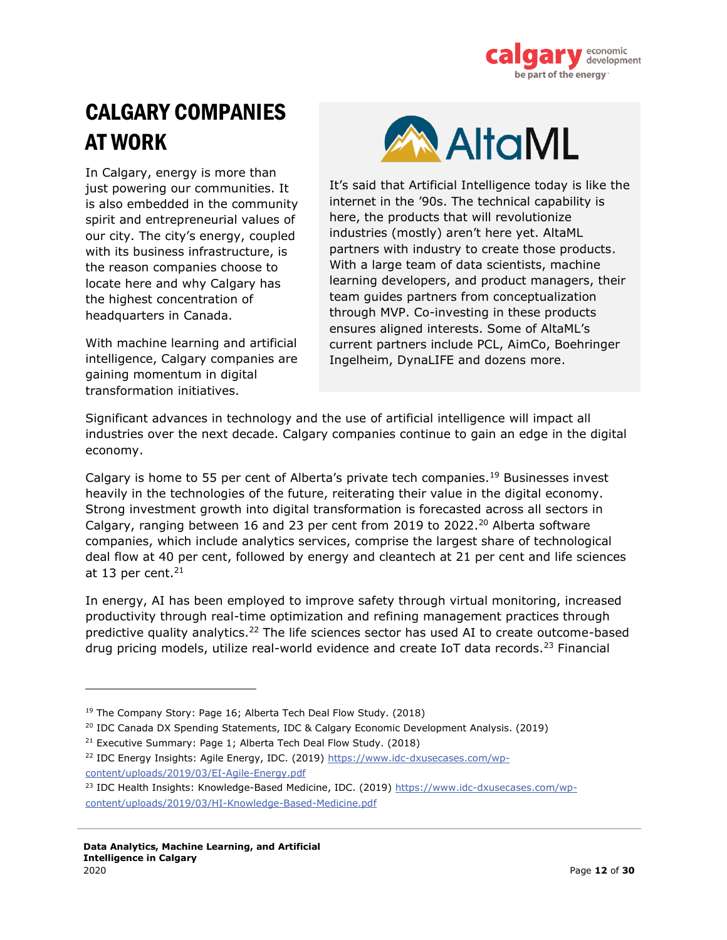

# <span id="page-11-0"></span>CALGARY COMPANIES AT WORK

In Calgary, energy is more than just powering our communities. It is also embedded in the community spirit and entrepreneurial values of our city. The city's energy, coupled with its business infrastructure, is the reason companies choose to locate here and why Calgary has the highest concentration of headquarters in Canada.

With machine learning and artificial intelligence, Calgary companies are gaining momentum in digital transformation initiatives.



It's said that Artificial Intelligence today is like the internet in the '90s. The technical capability is here, the products that will revolutionize industries (mostly) aren't here yet. AltaML partners with industry to create those products. With a large team of data scientists, machine learning developers, and product managers, their team guides partners from conceptualization through MVP. Co-investing in these products ensures aligned interests. Some of AltaML's current partners include PCL, AimCo, Boehringer Ingelheim, DynaLIFE and dozens more.

Significant advances in technology and the use of artificial intelligence will impact all industries over the next decade. Calgary companies continue to gain an edge in the digital economy.

Calgary is home to 55 per cent of Alberta's private tech companies.<sup>19</sup> Businesses invest heavily in the technologies of the future, reiterating their value in the digital economy. Strong investment growth into digital transformation is forecasted across all sectors in Calgary, ranging between 16 and 23 per cent from 2019 to 2022.<sup>20</sup> Alberta software companies, which include analytics services, comprise the largest share of technological deal flow at 40 per cent, followed by energy and cleantech at 21 per cent and life sciences at 13 per cent. $21$ 

In energy, AI has been employed to improve safety through virtual monitoring, increased productivity through real-time optimization and refining management practices through predictive quality analytics. $22$  The life sciences sector has used AI to create outcome-based drug pricing models, utilize real-world evidence and create IoT data records.<sup>23</sup> Financial

<sup>&</sup>lt;sup>19</sup> The Company Story: Page 16; Alberta Tech Deal Flow Study. (2018)

<sup>20</sup> IDC Canada DX Spending Statements, IDC & Calgary Economic Development Analysis. (2019)

<sup>&</sup>lt;sup>21</sup> Executive Summary: Page 1; Alberta Tech Deal Flow Study. (2018)

<sup>&</sup>lt;sup>22</sup> IDC Energy Insights: Agile Energy, IDC. (2019) https://www.idc-dxusecases.com/wpcontent/uploads/2019/03/EI-Agile-Energy.pdf

<sup>&</sup>lt;sup>23</sup> IDC Health Insights: Knowledge-Based Medicine, IDC. (2019) https://www.idc-dxusecases.com/wpcontent/uploads/2019/03/HI-Knowledge-Based-Medicine.pdf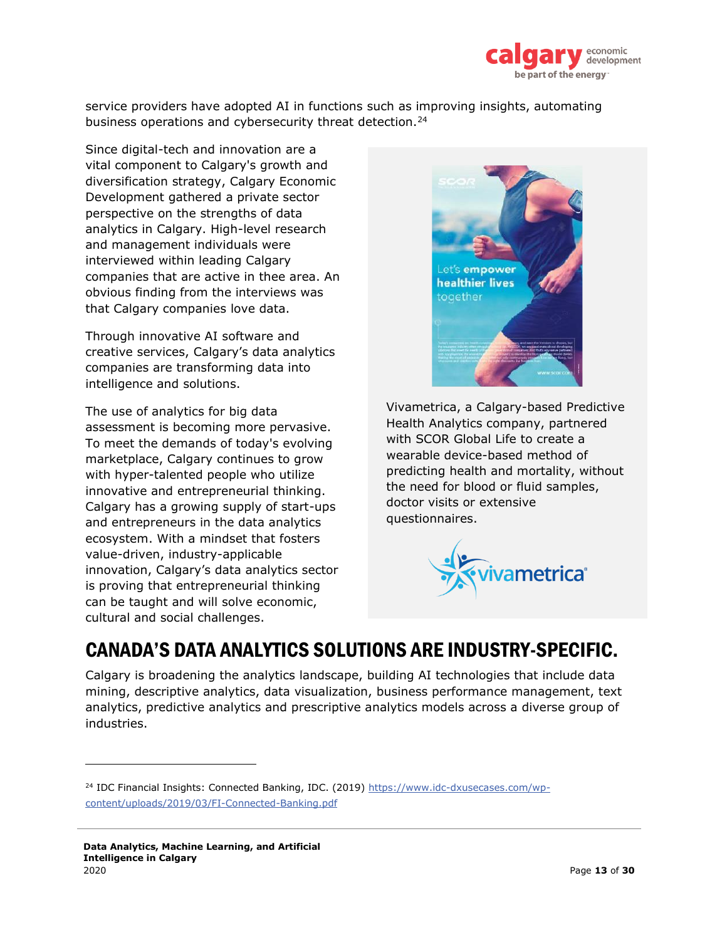

service providers have adopted AI in functions such as improving insights, automating business operations and cybersecurity threat detection.<sup>24</sup>

Since digital-tech and innovation are a vital component to Calgary's growth and diversification strategy, Calgary Economic Development gathered a private sector perspective on the strengths of data analytics in Calgary. High-level research and management individuals were interviewed within leading Calgary companies that are active in thee area. An obvious finding from the interviews was that Calgary companies love data.

Through innovative AI software and creative services, Calgary's data analytics companies are transforming data into intelligence and solutions.

The use of analytics for big data assessment is becoming more pervasive. To meet the demands of today's evolving marketplace, Calgary continues to grow with hyper-talented people who utilize innovative and entrepreneurial thinking. Calgary has a growing supply of start-ups and entrepreneurs in the data analytics ecosystem. With a mindset that fosters value-driven, industry-applicable innovation, Calgary's data analytics sector is proving that entrepreneurial thinking can be taught and will solve economic, cultural and social challenges.



Vivametrica, a Calgary-based Predictive Health Analytics company, partnered with SCOR Global Life to create a wearable device-based method of predicting health and mortality, without the need for blood or fluid samples, doctor visits or extensive questionnaires.



### CANADA'S DATA ANALYTICS SOLUTIONS ARE INDUSTRY-SPECIFIC.

Calgary is broadening the analytics landscape, building AI technologies that include data mining, descriptive analytics, data visualization, business performance management, text analytics, predictive analytics and prescriptive analytics models across a diverse group of industries.

<sup>&</sup>lt;sup>24</sup> IDC Financial Insights: Connected Banking, IDC. (2019) https://www.idc-dxusecases.com/wpcontent/uploads/2019/03/FI-Connected-Banking.pdf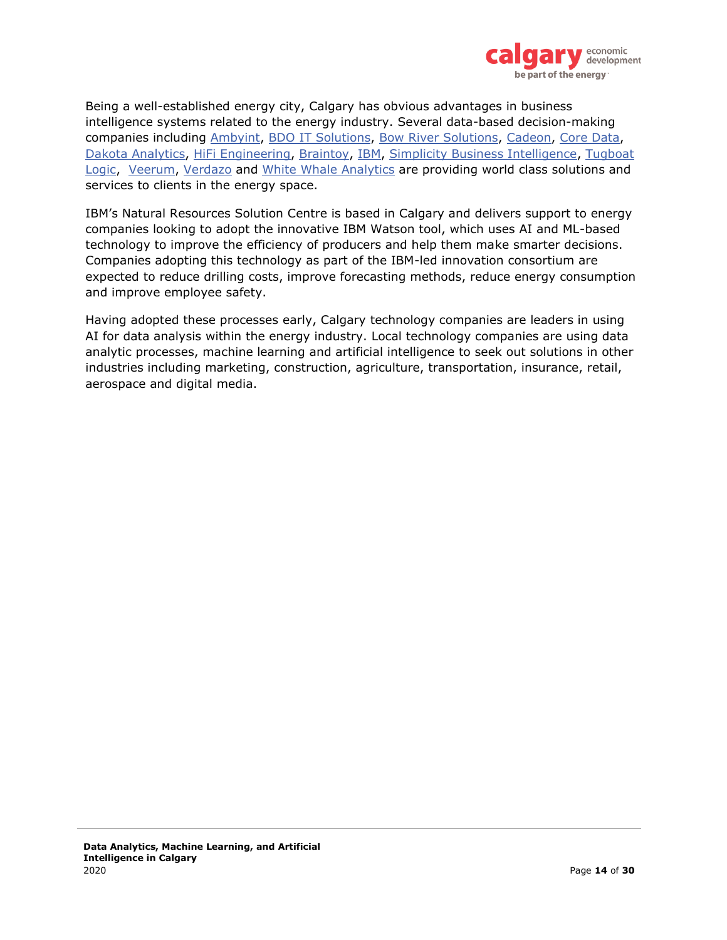

Being a well-established energy city, Calgary has obvious advantages in business intelligence systems related to the energy industry. Several data-based decision-making companies including Ambyint, BDO IT Solutions, Bow River Solutions, Cadeon, Core Data, Dakota Analytics, HiFi Engineering, Braintoy, IBM, Simplicity Business Intelligence, Tugboat Logic, Veerum, Verdazo and White Whale Analytics are providing world class solutions and services to clients in the energy space.

IBM's Natural Resources Solution Centre is based in Calgary and delivers support to energy companies looking to adopt the innovative IBM Watson tool, which uses AI and ML-based technology to improve the efficiency of producers and help them make smarter decisions. Companies adopting this technology as part of the IBM-led innovation consortium are expected to reduce drilling costs, improve forecasting methods, reduce energy consumption and improve employee safety.

Having adopted these processes early, Calgary technology companies are leaders in using AI for data analysis within the energy industry. Local technology companies are using data analytic processes, machine learning and artificial intelligence to seek out solutions in other industries including marketing, construction, agriculture, transportation, insurance, retail, aerospace and digital media.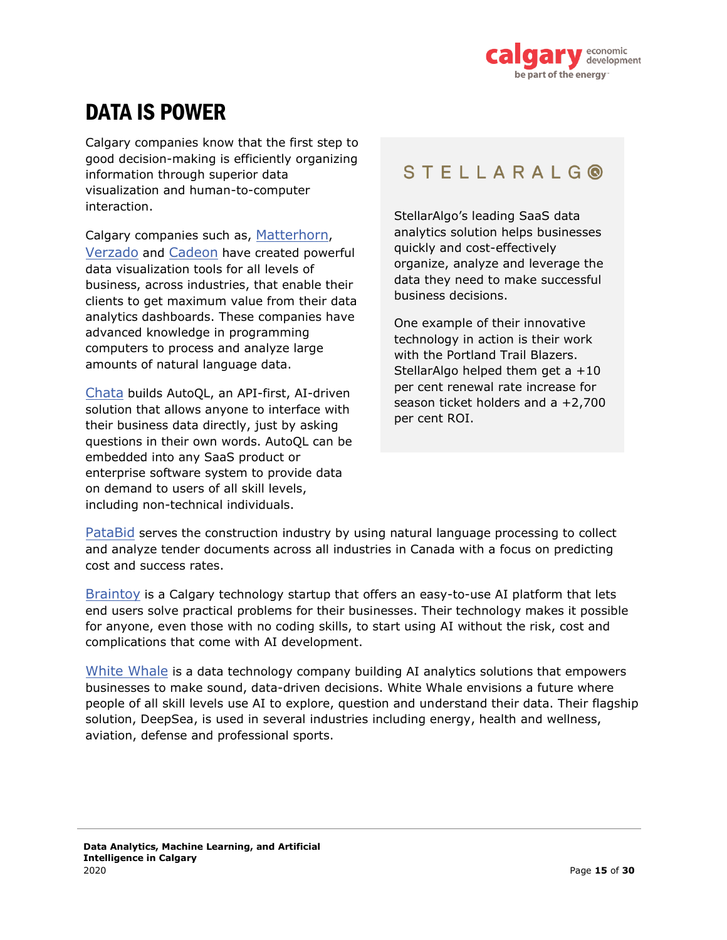

# <span id="page-14-0"></span>DATA IS POWER

Calgary companies know that the first step to good decision-making is efficiently organizing information through superior data visualization and human-to-computer interaction.

Calgary companies such as, Matterhorn, Verzado and Cadeon have created powerful data visualization tools for all levels of business, across industries, that enable their clients to get maximum value from their data analytics dashboards. These companies have advanced knowledge in programming computers to process and analyze large amounts of natural language data.

Chata builds AutoQL, an API-first, AI-driven solution that allows anyone to interface with their business data directly, just by asking questions in their own words. AutoQL can be embedded into any SaaS product or enterprise software system to provide data on demand to users of all skill levels, including non-technical individuals.

#### **STELLARALGO**

StellarAlgo's leading SaaS data analytics solution helps businesses quickly and cost-effectively organize, analyze and leverage the data they need to make successful business decisions.

One example of their innovative technology in action is their work with the Portland Trail Blazers. StellarAlgo helped them get a +10 per cent renewal rate increase for season ticket holders and a +2,700 per cent ROI.

PataBid serves the construction industry by using natural language processing to collect and analyze tender documents across all industries in Canada with a focus on predicting cost and success rates.

Braintoy is a Calgary technology startup that offers an easy-to-use AI platform that lets end users solve practical problems for their businesses. Their technology makes it possible for anyone, even those with no coding skills, to start using AI without the risk, cost and complications that come with AI development.

White Whale is a data technology company building AI analytics solutions that empowers businesses to make sound, data-driven decisions. White Whale envisions a future where people of all skill levels use AI to explore, question and understand their data. Their flagship solution, DeepSea, is used in several industries including energy, health and wellness, aviation, defense and professional sports.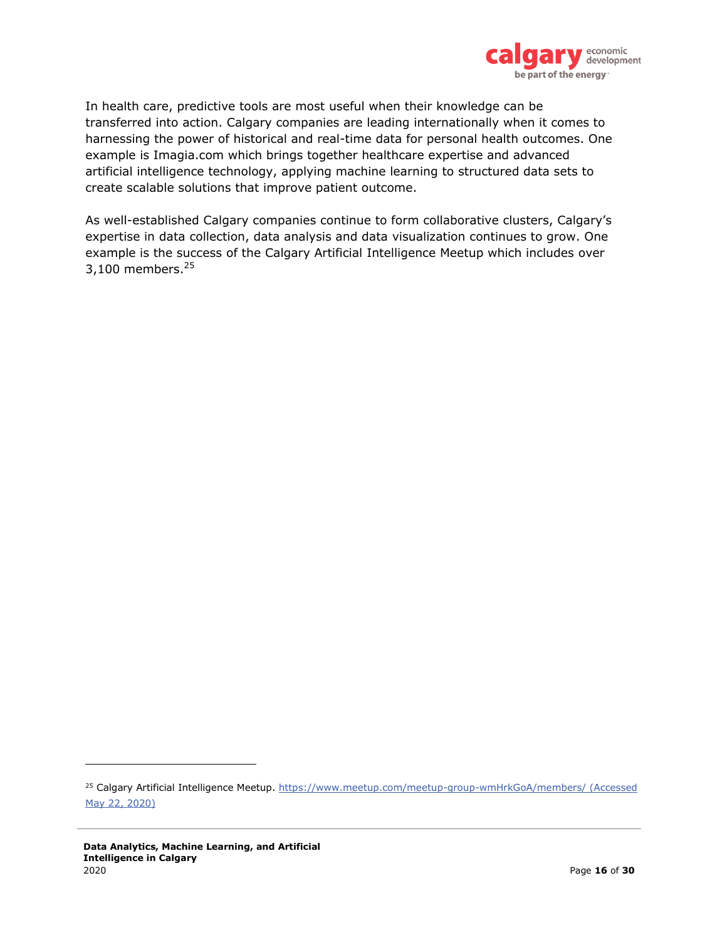

In health care, predictive tools are most useful when their knowledge can be transferred into action. Calgary companies are leading internationally when it comes to harnessing the power of historical and real-time data for personal health outcomes. One example is Imagia.com which brings together healthcare expertise and advanced artificial intelligence technology, applying machine learning to structured data sets to create scalable solutions that improve patient outcome.

As well-established Calgary companies continue to form collaborative clusters, Calgary's expertise in data collection, data analysis and data visualization continues to grow. One example is the success of the Calgary Artificial Intelligence Meetup which includes over 3,100 members. $25$ 

<sup>&</sup>lt;sup>25</sup> Calgary Artificial Intelligence Meetup. https://www.meetup.com/meetup-group-wmHrkGoA/members/ (Accessed May 22, 2020)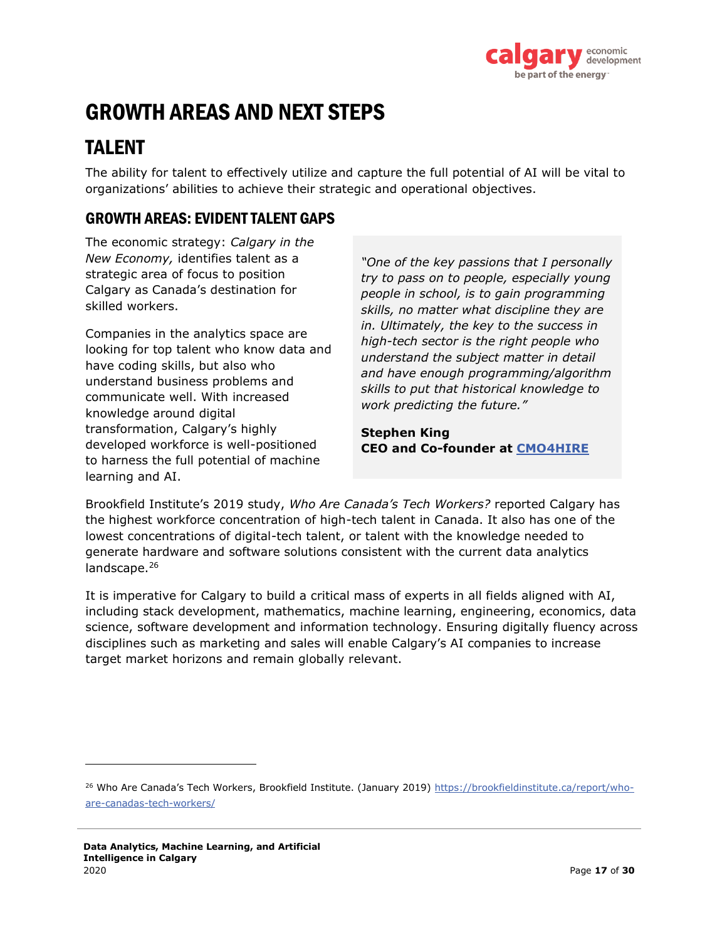

# <span id="page-16-0"></span>GROWTH AREAS AND NEXT STEPS

### TALENT

The ability for talent to effectively utilize and capture the full potential of AI will be vital to organizations' abilities to achieve their strategic and operational objectives.

#### GROWTH AREAS: EVIDENT TALENT GAPS

The economic strategy: *Calgary in the New Economy,* identifies talent as a strategic area of focus to position Calgary as Canada's destination for skilled workers.

Companies in the analytics space are looking for top talent who know data and have coding skills, but also who understand business problems and communicate well. With increased knowledge around digital transformation, Calgary's highly developed workforce is well-positioned to harness the full potential of machine learning and AI.

*"One of the key passions that I personally try to pass on to people, especially young people in school, is to gain programming skills, no matter what discipline they are in. Ultimately, the key to the success in high-tech sector is the right people who understand the subject matter in detail and have enough programming/algorithm skills to put that historical knowledge to work predicting the future."*

**Stephen King CEO and Co-founder at CMO4HIRE**

Brookfield Institute's 2019 study, *Who Are Canada's Tech Workers?* reported Calgary has the highest workforce concentration of high-tech talent in Canada. It also has one of the lowest concentrations of digital-tech talent, or talent with the knowledge needed to generate hardware and software solutions consistent with the current data analytics landscape.<sup>26</sup>

It is imperative for Calgary to build a critical mass of experts in all fields aligned with AI, including stack development, mathematics, machine learning, engineering, economics, data science, software development and information technology. Ensuring digitally fluency across disciplines such as marketing and sales will enable Calgary's AI companies to increase target market horizons and remain globally relevant.

<sup>26</sup> Who Are Canada's Tech Workers, Brookfield Institute. (January 2019) https://brookfieldinstitute.ca/report/whoare-canadas-tech-workers/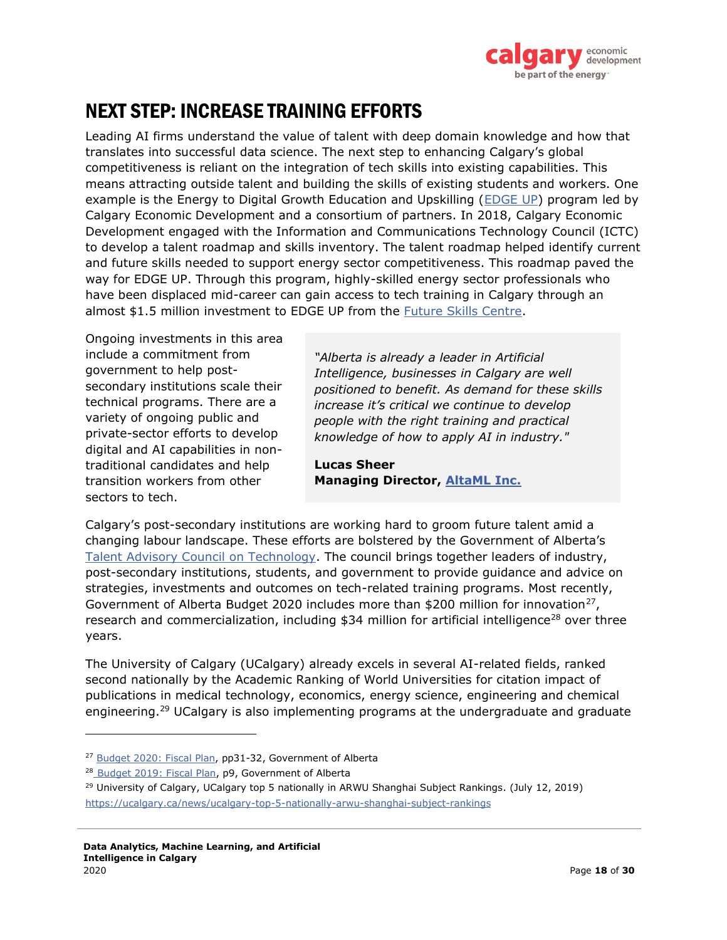

### NEXT STEP: INCREASE TRAINING EFFORTS

Leading AI firms understand the value of talent with deep domain knowledge and how that translates into successful data science. The next step to enhancing Calgary's global competitiveness is reliant on the integration of tech skills into existing capabilities. This means attracting outside talent and building the skills of existing students and workers. One example is the Energy to Digital Growth Education and Upskilling (EDGE UP) program led by Calgary Economic Development and a consortium of partners. In 2018, Calgary Economic Development engaged with the Information and Communications Technology Council (ICTC) to develop a talent roadmap and skills inventory. The talent roadmap helped identify current and future skills needed to support energy sector competitiveness. This roadmap paved the way for EDGE UP. Through this program, highly-skilled energy sector professionals who have been displaced mid-career can gain access to tech training in Calgary through an almost \$1.5 million investment to EDGE UP from the Future Skills Centre.

Ongoing investments in this area include a commitment from government to help postsecondary institutions scale their technical programs. There are a variety of ongoing public and private-sector efforts to develop digital and AI capabilities in nontraditional candidates and help transition workers from other sectors to tech.

*"Alberta is already a leader in Artificial Intelligence, businesses in Calgary are well positioned to benefit. As demand for these skills increase it's critical we continue to develop people with the right training and practical knowledge of how to apply AI in industry."*

**Lucas Sheer Managing Director, AltaML Inc.**

Calgary's post-secondary institutions are working hard to groom future talent amid a changing labour landscape. These efforts are bolstered by the Government of Alberta's Talent Advisory Council on Technology. The council brings together leaders of industry, post-secondary institutions, students, and government to provide guidance and advice on strategies, investments and outcomes on tech-related training programs. Most recently, Government of Alberta Budget 2020 includes more than \$200 million for innovation<sup>27</sup>, research and commercialization, including \$34 million for artificial intelligence<sup>28</sup> over three years.

The University of Calgary (UCalgary) already excels in several AI-related fields, ranked second nationally by the Academic Ranking of World Universities for citation impact of publications in medical technology, economics, energy science, engineering and chemical engineering.<sup>29</sup> UCalgary is also implementing programs at the undergraduate and graduate

<sup>&</sup>lt;sup>27</sup> Budget 2020: Fiscal Plan, pp31-32, Government of Alberta

<sup>28</sup> Budget 2019: Fiscal Plan, p9, Government of Alberta

<sup>&</sup>lt;sup>29</sup> University of Calgary, UCalgary top 5 nationally in ARWU Shanghai Subject Rankings. (July 12, 2019) https://ucalgary.ca/news/ucalgary-top-5-nationally-arwu-shanghai-subject-rankings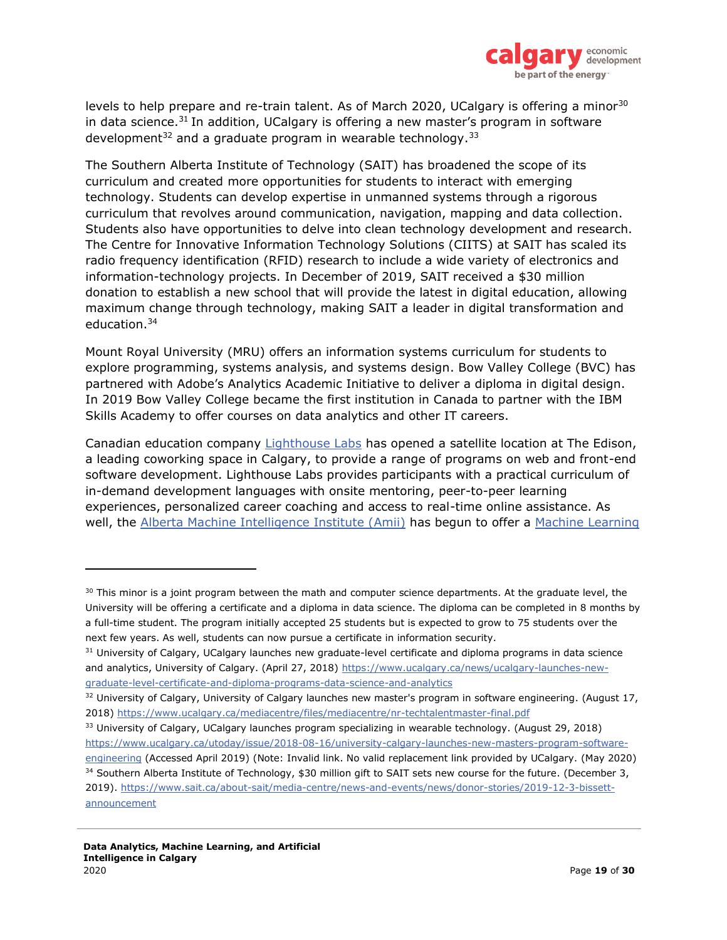

levels to help prepare and re-train talent. As of March 2020, UCalgary is offering a minor<sup>30</sup> in data science.<sup>31</sup> In addition, UCalgary is offering a new master's program in software development $32$  and a graduate program in wearable technology.  $33$ 

The Southern Alberta Institute of Technology (SAIT) has broadened the scope of its curriculum and created more opportunities for students to interact with emerging technology. Students can develop expertise in unmanned systems through a rigorous curriculum that revolves around communication, navigation, mapping and data collection. Students also have opportunities to delve into clean technology development and research. The Centre for Innovative Information Technology Solutions (CIITS) at SAIT has scaled its radio frequency identification (RFID) research to include a wide variety of electronics and information-technology projects. In December of 2019, SAIT received a \$30 million donation to establish a new school that will provide the latest in digital education, allowing maximum change through technology, making SAIT a leader in digital transformation and education.<sup>34</sup>

Mount Royal University (MRU) offers an information systems curriculum for students to explore programming, systems analysis, and systems design. Bow Valley College (BVC) has partnered with Adobe's Analytics Academic Initiative to deliver a diploma in digital design. In 2019 Bow Valley College became the first institution in Canada to partner with the IBM Skills Academy to offer courses on data analytics and other IT careers.

Canadian education company Lighthouse Labs has opened a satellite location at The Edison, a leading coworking space in Calgary, to provide a range of programs on web and front-end software development. Lighthouse Labs provides participants with a practical curriculum of in-demand development languages with onsite mentoring, peer-to-peer learning experiences, personalized career coaching and access to real-time online assistance. As well, the Alberta Machine Intelligence Institute (Amii) has begun to offer a Machine Learning

 $30$  This minor is a joint program between the math and computer science departments. At the graduate level, the University will be offering a certificate and a diploma in data science. The diploma can be completed in 8 months by a full-time student. The program initially accepted 25 students but is expected to grow to 75 students over the next few years. As well, students can now pursue a certificate in information security.

<sup>&</sup>lt;sup>31</sup> University of Calgary, UCalgary launches new graduate-level certificate and diploma programs in data science and analytics, University of Calgary. (April 27, 2018) https://www.ucalgary.ca/news/ucalgary-launches-newgraduate-level-certificate-and-diploma-programs-data-science-and-analytics

 $32$  University of Calgary, University of Calgary launches new master's program in software engineering. (August 17, 2018) https://www.ucalgary.ca/mediacentre/files/mediacentre/nr-techtalentmaster-final.pdf

<sup>&</sup>lt;sup>33</sup> University of Calgary, UCalgary launches program specializing in wearable technology. (August 29, 2018) https://www.ucalgary.ca/utoday/issue/2018-08-16/university-calgary-launches-new-masters-program-software-

engineering (Accessed April 2019) (Note: Invalid link. No valid replacement link provided by UCalgary. (May 2020) <sup>34</sup> Southern Alberta Institute of Technology, \$30 million gift to SAIT sets new course for the future. (December 3,

<sup>2019).</sup> https://www.sait.ca/about-sait/media-centre/news-and-events/news/donor-stories/2019-12-3-bissettannouncement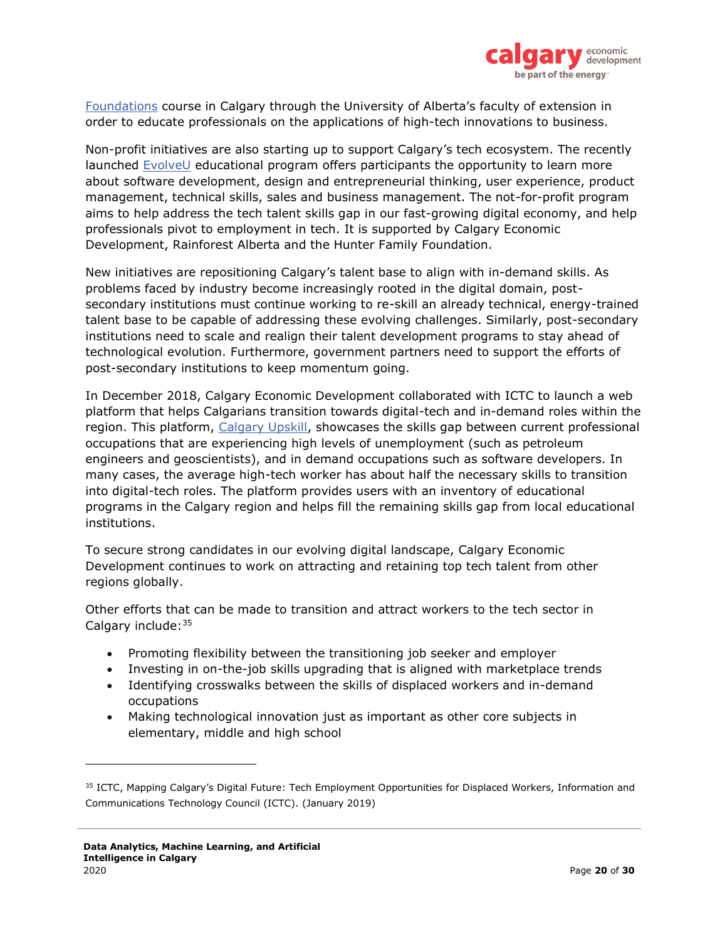

Foundations course in Calgary through the University of Alberta's faculty of extension in order to educate professionals on the applications of high-tech innovations to business.

Non-profit initiatives are also starting up to support Calgary's tech ecosystem. The recently launched EvolveU educational program offers participants the opportunity to learn more about software development, design and entrepreneurial thinking, user experience, product management, technical skills, sales and business management. The not-for-profit program aims to help address the tech talent skills gap in our fast-growing digital economy, and help professionals pivot to employment in tech. It is supported by Calgary Economic Development, Rainforest Alberta and the Hunter Family Foundation.

New initiatives are repositioning Calgary's talent base to align with in-demand skills. As problems faced by industry become increasingly rooted in the digital domain, postsecondary institutions must continue working to re-skill an already technical, energy-trained talent base to be capable of addressing these evolving challenges. Similarly, post-secondary institutions need to scale and realign their talent development programs to stay ahead of technological evolution. Furthermore, government partners need to support the efforts of post-secondary institutions to keep momentum going.

In December 2018, Calgary Economic Development collaborated with ICTC to launch a web platform that helps Calgarians transition towards digital-tech and in-demand roles within the region. This platform, Calgary Upskill, showcases the skills gap between current professional occupations that are experiencing high levels of unemployment (such as petroleum engineers and geoscientists), and in demand occupations such as software developers. In many cases, the average high-tech worker has about half the necessary skills to transition into digital-tech roles. The platform provides users with an inventory of educational programs in the Calgary region and helps fill the remaining skills gap from local educational institutions.

To secure strong candidates in our evolving digital landscape, Calgary Economic Development continues to work on attracting and retaining top tech talent from other regions globally.

Other efforts that can be made to transition and attract workers to the tech sector in Calgary include: 35

- Promoting flexibility between the transitioning job seeker and employer
- Investing in on-the-job skills upgrading that is aligned with marketplace trends
- Identifying crosswalks between the skills of displaced workers and in-demand occupations
- Making technological innovation just as important as other core subjects in elementary, middle and high school

<sup>&</sup>lt;sup>35</sup> ICTC, Mapping Calgary's Digital Future: Tech Employment Opportunities for Displaced Workers, Information and Communications Technology Council (ICTC). (January 2019)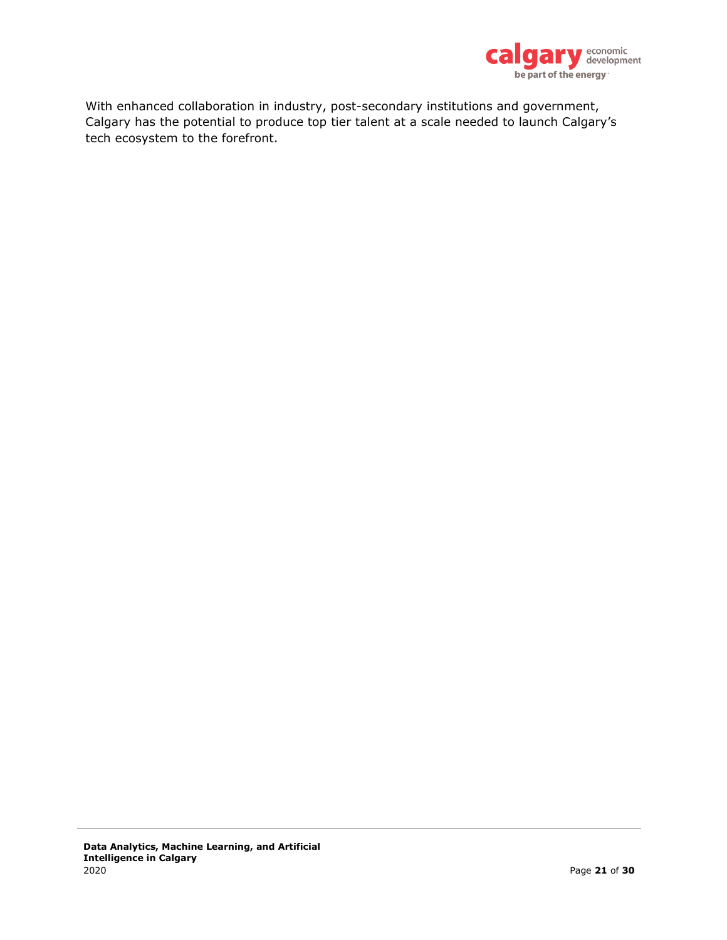

With enhanced collaboration in industry, post-secondary institutions and government, Calgary has the potential to produce top tier talent at a scale needed to launch Calgary's tech ecosystem to the forefront.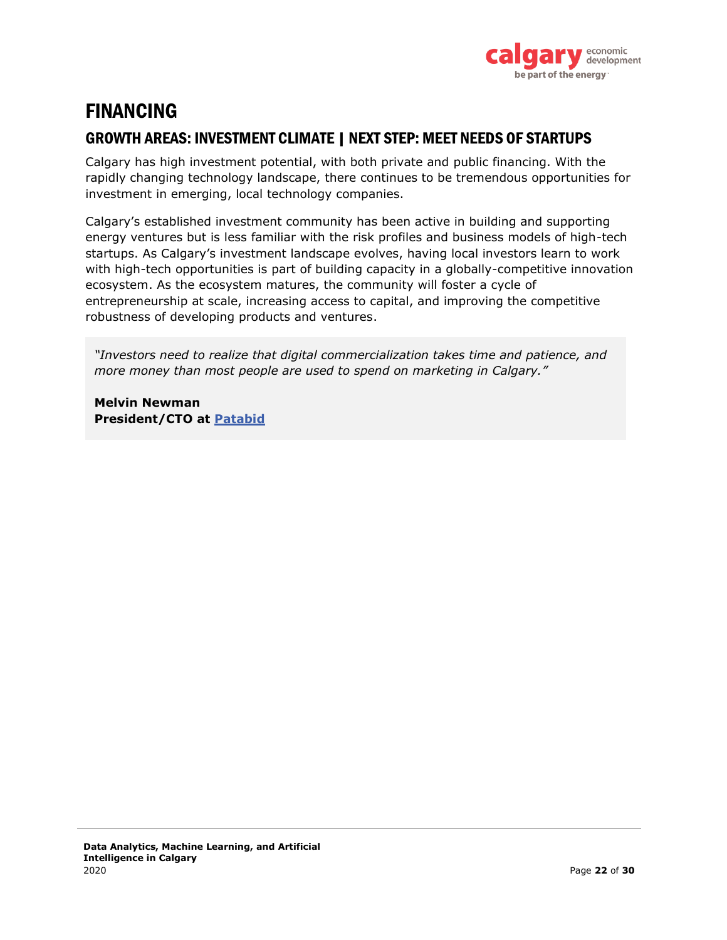

### FINANCING

#### GROWTH AREAS: INVESTMENT CLIMATE | NEXT STEP: MEET NEEDS OF STARTUPS

Calgary has high investment potential, with both private and public financing. With the rapidly changing technology landscape, there continues to be tremendous opportunities for investment in emerging, local technology companies.

Calgary's established investment community has been active in building and supporting energy ventures but is less familiar with the risk profiles and business models of high-tech startups. As Calgary's investment landscape evolves, having local investors learn to work with high-tech opportunities is part of building capacity in a globally-competitive innovation ecosystem. As the ecosystem matures, the community will foster a cycle of entrepreneurship at scale, increasing access to capital, and improving the competitive robustness of developing products and ventures.

*"Investors need to realize that digital commercialization takes time and patience, and more money than most people are used to spend on marketing in Calgary."*

**Melvin Newman President/CTO at Patabid**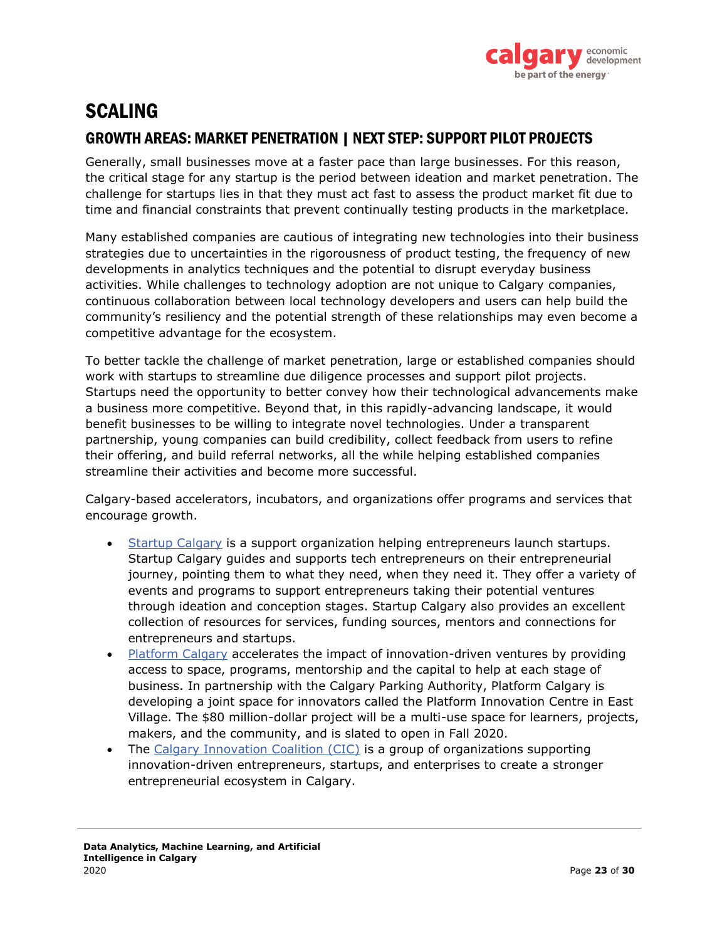

### SCALING GROWTH AREAS: MARKET PENETRATION | NEXT STEP: SUPPORT PILOT PROJECTS

Generally, small businesses move at a faster pace than large businesses. For this reason, the critical stage for any startup is the period between ideation and market penetration. The challenge for startups lies in that they must act fast to assess the product market fit due to time and financial constraints that prevent continually testing products in the marketplace.

Many established companies are cautious of integrating new technologies into their business strategies due to uncertainties in the rigorousness of product testing, the frequency of new developments in analytics techniques and the potential to disrupt everyday business activities. While challenges to technology adoption are not unique to Calgary companies, continuous collaboration between local technology developers and users can help build the community's resiliency and the potential strength of these relationships may even become a competitive advantage for the ecosystem.

To better tackle the challenge of market penetration, large or established companies should work with startups to streamline due diligence processes and support pilot projects. Startups need the opportunity to better convey how their technological advancements make a business more competitive. Beyond that, in this rapidly-advancing landscape, it would benefit businesses to be willing to integrate novel technologies. Under a transparent partnership, young companies can build credibility, collect feedback from users to refine their offering, and build referral networks, all the while helping established companies streamline their activities and become more successful.

Calgary-based accelerators, incubators, and organizations offer programs and services that encourage growth.

- Startup Calgary is a support organization helping entrepreneurs launch startups. Startup Calgary guides and supports tech entrepreneurs on their entrepreneurial journey, pointing them to what they need, when they need it. They offer a variety of events and programs to support entrepreneurs taking their potential ventures through ideation and conception stages. Startup Calgary also provides an excellent collection of resources for services, funding sources, mentors and connections for entrepreneurs and startups.
- Platform Calgary accelerates the impact of innovation-driven ventures by providing access to space, programs, mentorship and the capital to help at each stage of business. In partnership with the Calgary Parking Authority, Platform Calgary is developing a joint space for innovators called the Platform Innovation Centre in East Village. The \$80 million-dollar project will be a multi-use space for learners, projects, makers, and the community, and is slated to open in Fall 2020.
- The Calgary Innovation Coalition (CIC) is a group of organizations supporting innovation-driven entrepreneurs, startups, and enterprises to create a stronger entrepreneurial ecosystem in Calgary.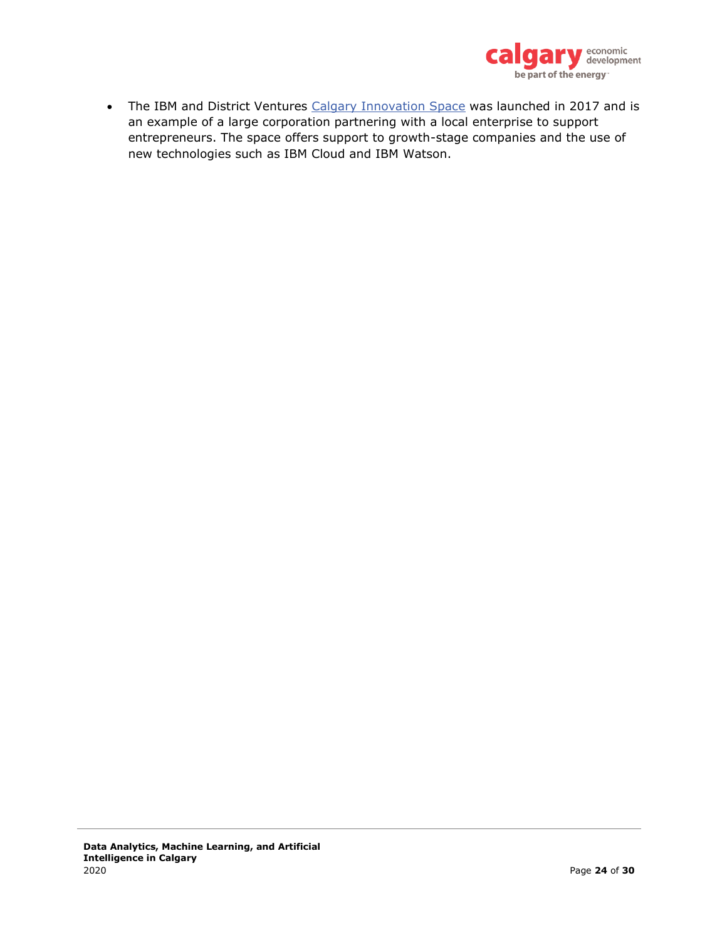

• The IBM and District Ventures Calgary Innovation Space was launched in 2017 and is an example of a large corporation partnering with a local enterprise to support entrepreneurs. The space offers support to growth-stage companies and the use of new technologies such as IBM Cloud and IBM Watson.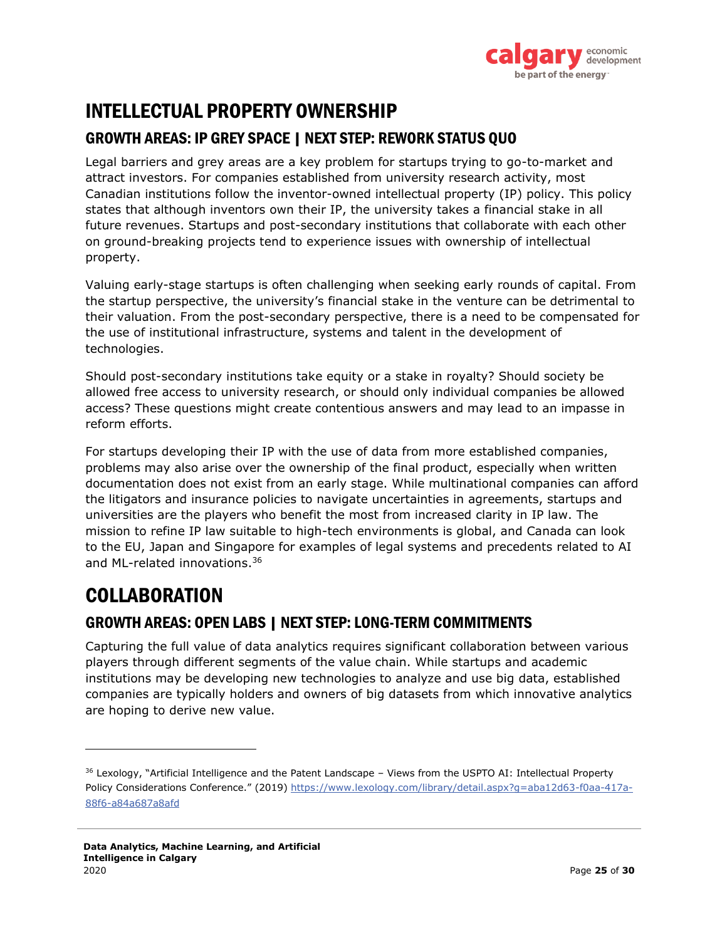

### INTELLECTUAL PROPERTY OWNERSHIP

#### GROWTH AREAS: IP GREY SPACE | NEXT STEP: REWORK STATUS QUO

Legal barriers and grey areas are a key problem for startups trying to go-to-market and attract investors. For companies established from university research activity, most Canadian institutions follow the inventor-owned intellectual property (IP) policy. This policy states that although inventors own their IP, the university takes a financial stake in all future revenues. Startups and post-secondary institutions that collaborate with each other on ground-breaking projects tend to experience issues with ownership of intellectual property.

Valuing early-stage startups is often challenging when seeking early rounds of capital. From the startup perspective, the university's financial stake in the venture can be detrimental to their valuation. From the post-secondary perspective, there is a need to be compensated for the use of institutional infrastructure, systems and talent in the development of technologies.

Should post-secondary institutions take equity or a stake in royalty? Should society be allowed free access to university research, or should only individual companies be allowed access? These questions might create contentious answers and may lead to an impasse in reform efforts.

For startups developing their IP with the use of data from more established companies, problems may also arise over the ownership of the final product, especially when written documentation does not exist from an early stage. While multinational companies can afford the litigators and insurance policies to navigate uncertainties in agreements, startups and universities are the players who benefit the most from increased clarity in IP law. The mission to refine IP law suitable to high-tech environments is global, and Canada can look to the EU, Japan and Singapore for examples of legal systems and precedents related to AI and ML-related innovations. 36

### COLLABORATION

#### GROWTH AREAS: OPEN LABS | NEXT STEP: LONG-TERM COMMITMENTS

Capturing the full value of data analytics requires significant collaboration between various players through different segments of the value chain. While startups and academic institutions may be developing new technologies to analyze and use big data, established companies are typically holders and owners of big datasets from which innovative analytics are hoping to derive new value.

<sup>&</sup>lt;sup>36</sup> Lexology, "Artificial Intelligence and the Patent Landscape - Views from the USPTO AI: Intellectual Property Policy Considerations Conference." (2019) https://www.lexology.com/library/detail.aspx?g=aba12d63-f0aa-417a-88f6-a84a687a8afd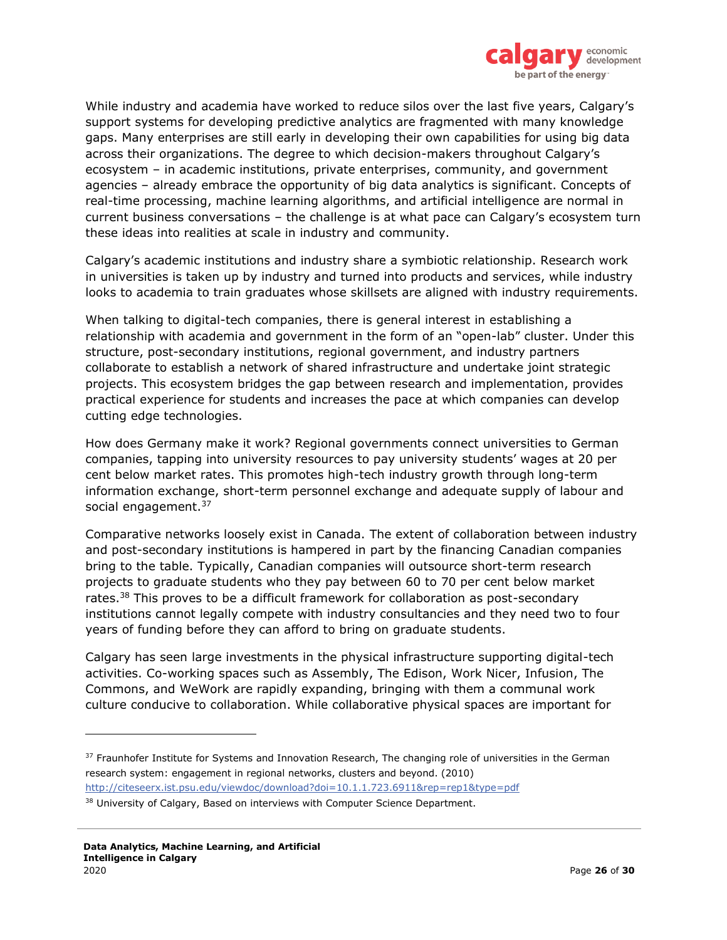

While industry and academia have worked to reduce silos over the last five years, Calgary's support systems for developing predictive analytics are fragmented with many knowledge gaps. Many enterprises are still early in developing their own capabilities for using big data across their organizations. The degree to which decision-makers throughout Calgary's ecosystem – in academic institutions, private enterprises, community, and government agencies – already embrace the opportunity of big data analytics is significant. Concepts of real-time processing, machine learning algorithms, and artificial intelligence are normal in current business conversations – the challenge is at what pace can Calgary's ecosystem turn these ideas into realities at scale in industry and community.

Calgary's academic institutions and industry share a symbiotic relationship. Research work in universities is taken up by industry and turned into products and services, while industry looks to academia to train graduates whose skillsets are aligned with industry requirements.

When talking to digital-tech companies, there is general interest in establishing a relationship with academia and government in the form of an "open-lab" cluster. Under this structure, post-secondary institutions, regional government, and industry partners collaborate to establish a network of shared infrastructure and undertake joint strategic projects. This ecosystem bridges the gap between research and implementation, provides practical experience for students and increases the pace at which companies can develop cutting edge technologies.

How does Germany make it work? Regional governments connect universities to German companies, tapping into university resources to pay university students' wages at 20 per cent below market rates. This promotes high-tech industry growth through long-term information exchange, short-term personnel exchange and adequate supply of labour and social engagement.<sup>37</sup>

Comparative networks loosely exist in Canada. The extent of collaboration between industry and post-secondary institutions is hampered in part by the financing Canadian companies bring to the table. Typically, Canadian companies will outsource short-term research projects to graduate students who they pay between 60 to 70 per cent below market rates.<sup>38</sup> This proves to be a difficult framework for collaboration as post-secondary institutions cannot legally compete with industry consultancies and they need two to four years of funding before they can afford to bring on graduate students.

Calgary has seen large investments in the physical infrastructure supporting digital-tech activities. Co-working spaces such as Assembly, The Edison, Work Nicer, Infusion, The Commons, and WeWork are rapidly expanding, bringing with them a communal work culture conducive to collaboration. While collaborative physical spaces are important for

<sup>&</sup>lt;sup>37</sup> Fraunhofer Institute for Systems and Innovation Research, The changing role of universities in the German research system: engagement in regional networks, clusters and beyond. (2010) http://citeseerx.ist.psu.edu/viewdoc/download?doi=10.1.1.723.6911&rep=rep1&type=pdf

<sup>38</sup> University of Calgary, Based on interviews with Computer Science Department.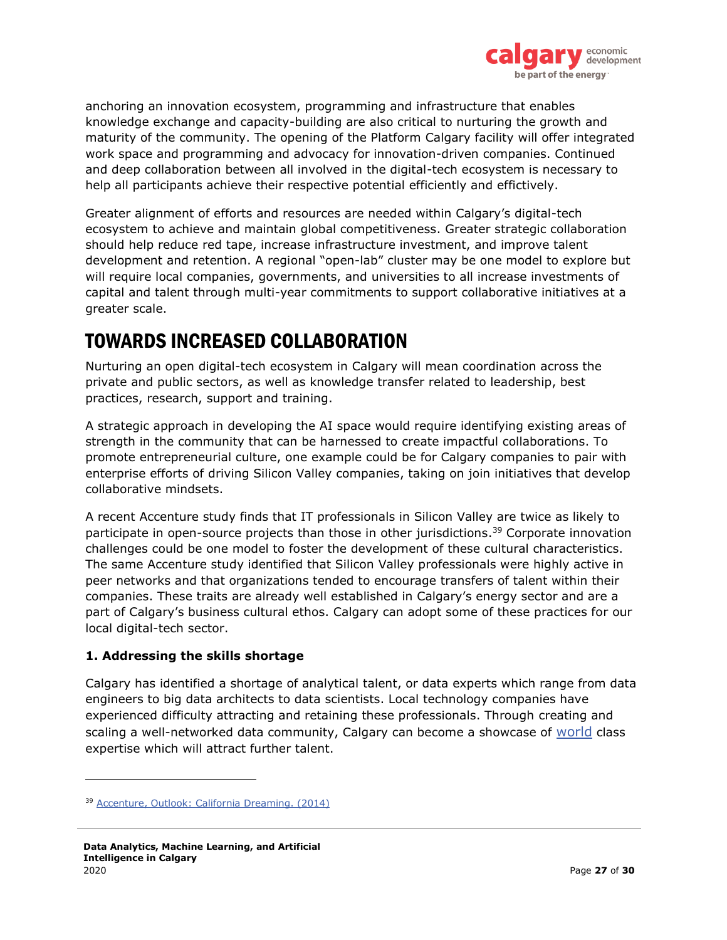

anchoring an innovation ecosystem, programming and infrastructure that enables knowledge exchange and capacity-building are also critical to nurturing the growth and maturity of the community. The opening of the Platform Calgary facility will offer integrated work space and programming and advocacy for innovation-driven companies. Continued and deep collaboration between all involved in the digital-tech ecosystem is necessary to help all participants achieve their respective potential efficiently and effictively.

Greater alignment of efforts and resources are needed within Calgary's digital-tech ecosystem to achieve and maintain global competitiveness. Greater strategic collaboration should help reduce red tape, increase infrastructure investment, and improve talent development and retention. A regional "open-lab" cluster may be one model to explore but will require local companies, governments, and universities to all increase investments of capital and talent through multi-year commitments to support collaborative initiatives at a greater scale.

### TOWARDS INCREASED COLLABORATION

Nurturing an open digital-tech ecosystem in Calgary will mean coordination across the private and public sectors, as well as knowledge transfer related to leadership, best practices, research, support and training.

A strategic approach in developing the AI space would require identifying existing areas of strength in the community that can be harnessed to create impactful collaborations. To promote entrepreneurial culture, one example could be for Calgary companies to pair with enterprise efforts of driving Silicon Valley companies, taking on join initiatives that develop collaborative mindsets.

A recent Accenture study finds that IT professionals in Silicon Valley are twice as likely to participate in open-source projects than those in other jurisdictions. <sup>39</sup> Corporate innovation challenges could be one model to foster the development of these cultural characteristics. The same Accenture study identified that Silicon Valley professionals were highly active in peer networks and that organizations tended to encourage transfers of talent within their companies. These traits are already well established in Calgary's energy sector and are a part of Calgary's business cultural ethos. Calgary can adopt some of these practices for our local digital-tech sector.

#### **1. Addressing the skills shortage**

Calgary has identified a shortage of analytical talent, or data experts which range from data engineers to big data architects to data scientists. Local technology companies have experienced difficulty attracting and retaining these professionals. Through creating and scaling a well-networked data community, Calgary can become a showcase of world class expertise which will attract further talent.

<sup>39</sup> Accenture, Outlook: California Dreaming. (2014)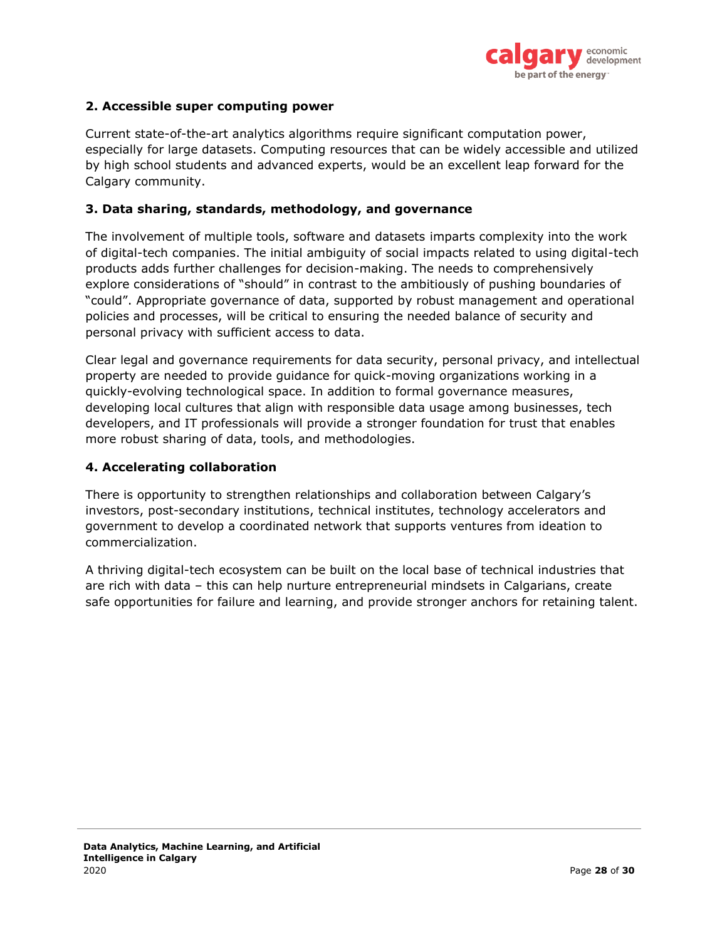

#### **2. Accessible super computing power**

Current state-of-the-art analytics algorithms require significant computation power, especially for large datasets. Computing resources that can be widely accessible and utilized by high school students and advanced experts, would be an excellent leap forward for the Calgary community.

#### **3. Data sharing, standards, methodology, and governance**

The involvement of multiple tools, software and datasets imparts complexity into the work of digital-tech companies. The initial ambiguity of social impacts related to using digital-tech products adds further challenges for decision-making. The needs to comprehensively explore considerations of "should" in contrast to the ambitiously of pushing boundaries of "could". Appropriate governance of data, supported by robust management and operational policies and processes, will be critical to ensuring the needed balance of security and personal privacy with sufficient access to data.

Clear legal and governance requirements for data security, personal privacy, and intellectual property are needed to provide guidance for quick-moving organizations working in a quickly-evolving technological space. In addition to formal governance measures, developing local cultures that align with responsible data usage among businesses, tech developers, and IT professionals will provide a stronger foundation for trust that enables more robust sharing of data, tools, and methodologies.

#### **4. Accelerating collaboration**

There is opportunity to strengthen relationships and collaboration between Calgary's investors, post-secondary institutions, technical institutes, technology accelerators and government to develop a coordinated network that supports ventures from ideation to commercialization.

A thriving digital-tech ecosystem can be built on the local base of technical industries that are rich with data – this can help nurture entrepreneurial mindsets in Calgarians, create safe opportunities for failure and learning, and provide stronger anchors for retaining talent.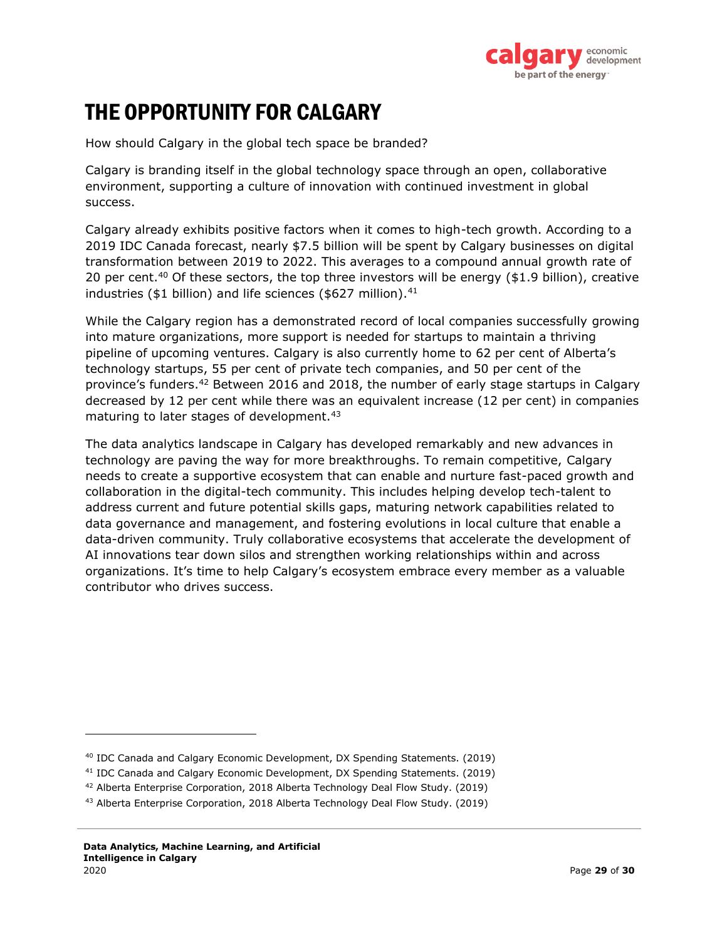

# <span id="page-28-0"></span>THE OPPORTUNITY FOR CALGARY

How should Calgary in the global tech space be branded?

Calgary is branding itself in the global technology space through an open, collaborative environment, supporting a culture of innovation with continued investment in global success.

Calgary already exhibits positive factors when it comes to high-tech growth. According to a 2019 IDC Canada forecast, nearly \$7.5 billion will be spent by Calgary businesses on digital transformation between 2019 to 2022. This averages to a compound annual growth rate of 20 per cent.<sup>40</sup> Of these sectors, the top three investors will be energy  $(1.9 \text{ billion})$ , creative industries (\$1 billion) and life sciences (\$627 million). $41$ 

While the Calgary region has a demonstrated record of local companies successfully growing into mature organizations, more support is needed for startups to maintain a thriving pipeline of upcoming ventures. Calgary is also currently home to 62 per cent of Alberta's technology startups, 55 per cent of private tech companies, and 50 per cent of the province's funders.<sup>42</sup> Between 2016 and 2018, the number of early stage startups in Calgary decreased by 12 per cent while there was an equivalent increase (12 per cent) in companies maturing to later stages of development.<sup>43</sup>

The data analytics landscape in Calgary has developed remarkably and new advances in technology are paving the way for more breakthroughs. To remain competitive, Calgary needs to create a supportive ecosystem that can enable and nurture fast-paced growth and collaboration in the digital-tech community. This includes helping develop tech-talent to address current and future potential skills gaps, maturing network capabilities related to data governance and management, and fostering evolutions in local culture that enable a data-driven community. Truly collaborative ecosystems that accelerate the development of AI innovations tear down silos and strengthen working relationships within and across organizations. It's time to help Calgary's ecosystem embrace every member as a valuable contributor who drives success.

<sup>40</sup> IDC Canada and Calgary Economic Development, DX Spending Statements. (2019)

<sup>41</sup> IDC Canada and Calgary Economic Development, DX Spending Statements. (2019)

<sup>42</sup> Alberta Enterprise Corporation, 2018 Alberta Technology Deal Flow Study. (2019)

<sup>43</sup> Alberta Enterprise Corporation, 2018 Alberta Technology Deal Flow Study. (2019)